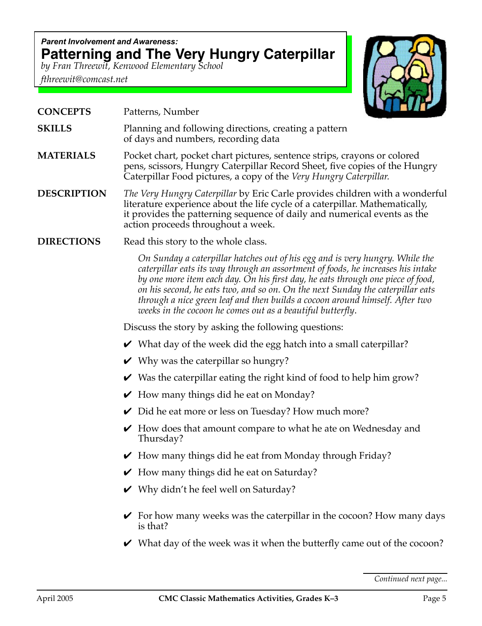## *Parent Involvement and Awareness:* **Patterning and The Very Hungry Caterpillar**

*by Fran Threewit, Kenwood Elementary School*

*fthreewit@comcast.net*



| <b>CONCEPTS</b> | Patterns, Number |
|-----------------|------------------|
|-----------------|------------------|

- **SKILLS** Planning and following directions, creating a pattern of days and numbers, recording data
- **MATERIALS** Pocket chart, pocket chart pictures, sentence strips, crayons or colored pens, scissors, Hungry Caterpillar Record Sheet, five copies of the Hungry Caterpillar Food pictures, a copy of the *Very Hungry Caterpillar.*
- **DESCRIPTION** *The Very Hungry Caterpillar* by Eric Carle provides children with a wonderful literature experience about the life cycle of a caterpillar. Mathematically, it provides the patterning sequence of daily and numerical events as the action proceeds throughout a week.
- **DIRECTIONS** Read this story to the whole class.

*On Sunday a caterpillar hatches out of his egg and is very hungry. While the caterpillar eats its way through an assortment of foods, he increases his intake by one more item each day. On his first day, he eats through one piece of food, on his second, he eats two, and so on. On the next Sunday the caterpillar eats through a nice green leaf and then builds a cocoon around himself. After two weeks in the cocoon he comes out as a beautiful butterfly*.

Discuss the story by asking the following questions:

- $\vee$  What day of the week did the egg hatch into a small caterpillar?
- $\vee$  Why was the caterpillar so hungry?
- $\vee$  Was the caterpillar eating the right kind of food to help him grow?
- $\vee$  How many things did he eat on Monday?
- $\vee$  Did he eat more or less on Tuesday? How much more?
- $\vee$  How does that amount compare to what he ate on Wednesday and Thursday?
- $\vee$  How many things did he eat from Monday through Friday?
- $\vee$  How many things did he eat on Saturday?
- $\vee$  Why didn't he feel well on Saturday?
- $\triangledown$  For how many weeks was the caterpillar in the cocoon? How many days is that?
- $\vee$  What day of the week was it when the butterfly came out of the cocoon?

*Continued next page...*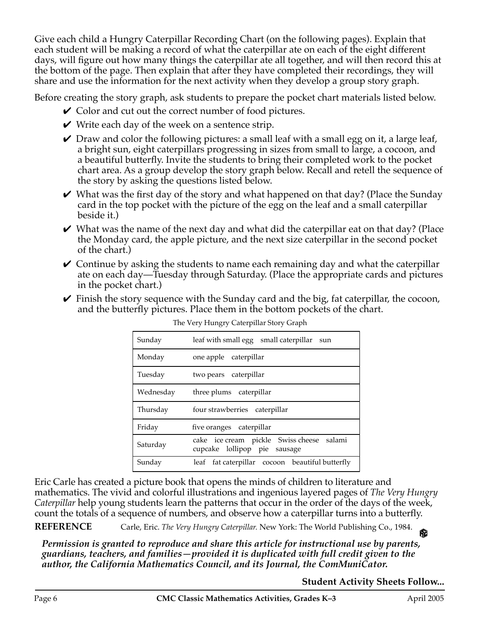Give each child a Hungry Caterpillar Recording Chart (on the following pages). Explain that each student will be making a record of what the caterpillar ate on each of the eight different days, will figure out how many things the caterpillar ate all together, and will then record this at the bottom of the page. Then explain that after they have completed their recordings, they will share and use the information for the next activity when they develop a group story graph.

Before creating the story graph, ask students to prepare the pocket chart materials listed below.

- $\vee$  Color and cut out the correct number of food pictures.
- $\vee$  Write each day of the week on a sentence strip.
- $\vee$  Draw and color the following pictures: a small leaf with a small egg on it, a large leaf, a bright sun, eight caterpillars progressing in sizes from small to large, a cocoon, and a beautiful butterfly. Invite the students to bring their completed work to the pocket chart area. As a group develop the story graph below. Recall and retell the sequence of the story by asking the questions listed below.
- $\vee$  What was the first day of the story and what happened on that day? (Place the Sunday card in the top pocket with the picture of the egg on the leaf and a small caterpillar beside it.)
- $\vee$  What was the name of the next day and what did the caterpillar eat on that day? (Place the Monday card, the apple picture, and the next size caterpillar in the second pocket of the chart.)
- $\vee$  Continue by asking the students to name each remaining day and what the caterpillar ate on each day—Tuesday through Saturday. (Place the appropriate cards and pictures in the pocket chart.)
- $\vee$  Finish the story sequence with the Sunday card and the big, fat caterpillar, the cocoon, and the butterfly pictures. Place them in the bottom pockets of the chart.

| Sunday    | leaf with small egg<br>small caterpillar sun                                 |  |  |  |  |  |  |
|-----------|------------------------------------------------------------------------------|--|--|--|--|--|--|
| Monday    | one apple caterpillar                                                        |  |  |  |  |  |  |
| Tuesday   | two pears caterpillar                                                        |  |  |  |  |  |  |
| Wednesday | three plums caterpillar                                                      |  |  |  |  |  |  |
| Thursday  | four strawberries<br>caterpillar                                             |  |  |  |  |  |  |
| Friday    | five oranges caterpillar                                                     |  |  |  |  |  |  |
| Saturday  | cake ice cream pickle Swiss cheese<br>salami<br>cupcake lollipop pie sausage |  |  |  |  |  |  |
| Sunday    | leaf fat caterpillar cocoon beautiful butterfly                              |  |  |  |  |  |  |

The Very Hungry Caterpillar Story Graph

Eric Carle has created a picture book that opens the minds of children to literature and mathematics. The vivid and colorful illustrations and ingenious layered pages of *The Very Hungry Caterpillar* help young students learn the patterns that occur in the order of the days of the week, count the totals of a sequence of numbers, and observe how a caterpillar turns into a butterfly.

**REFERENCE** Carle, Eric. *The Very Hungry Caterpillar.* New York: The World Publishing Co., 1984. 龠

*Permission is granted to reproduce and share this article for instructional use by parents, guardians, teachers, and families—provided it is duplicated with full credit given to the author, the California Mathematics Council, and its Journal, the ComMuniCator.*

## **Student Activity Sheets Follow...**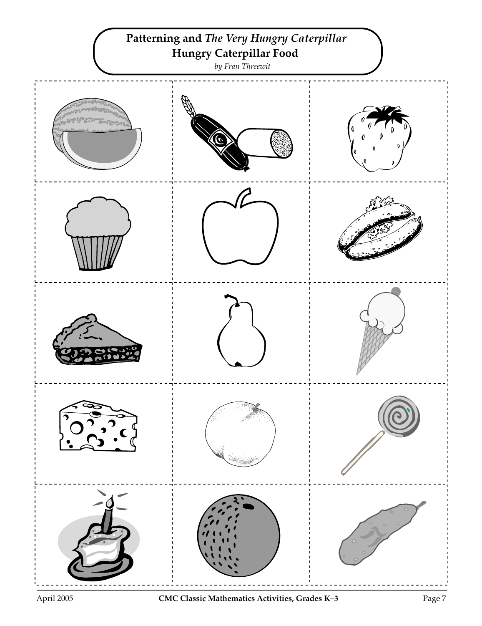